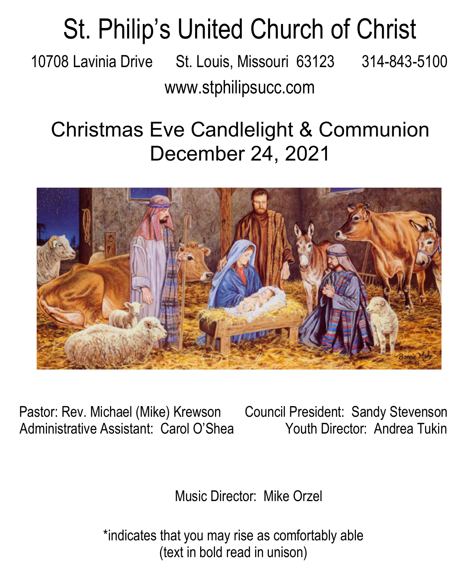# St. Philip's United Church of Christ

10708 Lavinia Drive St. Louis, Missouri 63123 314-843-5100 www.stphilipsucc.com

### Christmas Eve Candlelight & Communion December 24, 2021



Pastor: Rev. Michael (Mike) Krewson Council President: Sandy Stevenson Administrative Assistant: Carol O'Shea Youth Director: Andrea Tukin

Music Director: Mike Orzel

\*indicates that you may rise as comfortably able (text in bold read in unison)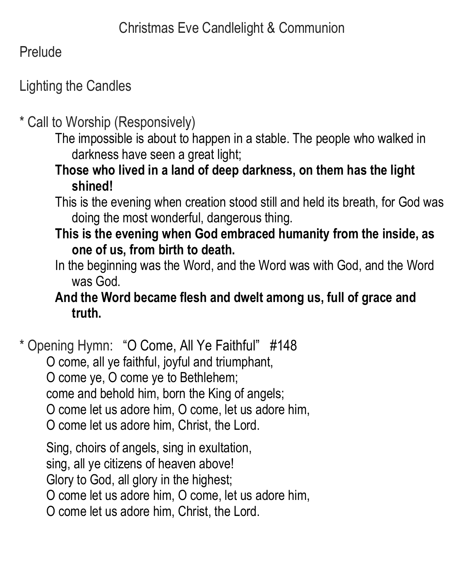Prelude

#### Lighting the Candles

\* Call to Worship (Responsively)

The impossible is about to happen in a stable. The people who walked in darkness have seen a great light;

**Those who lived in a land of deep darkness, on them has the light shined!**

This is the evening when creation stood still and held its breath, for God was doing the most wonderful, dangerous thing.

**This is the evening when God embraced humanity from the inside, as one of us, from birth to death.**

In the beginning was the Word, and the Word was with God, and the Word was God.

#### **And the Word became flesh and dwelt among us, full of grace and truth.**

\* Opening Hymn: "O Come, All Ye Faithful" #148

O come, all ye faithful, joyful and triumphant,

O come ye, O come ye to Bethlehem;

come and behold him, born the King of angels;

O come let us adore him, O come, let us adore him,

O come let us adore him, Christ, the Lord.

Sing, choirs of angels, sing in exultation,

sing, all ye citizens of heaven above!

Glory to God, all glory in the highest;

O come let us adore him, O come, let us adore him,

O come let us adore him, Christ, the Lord.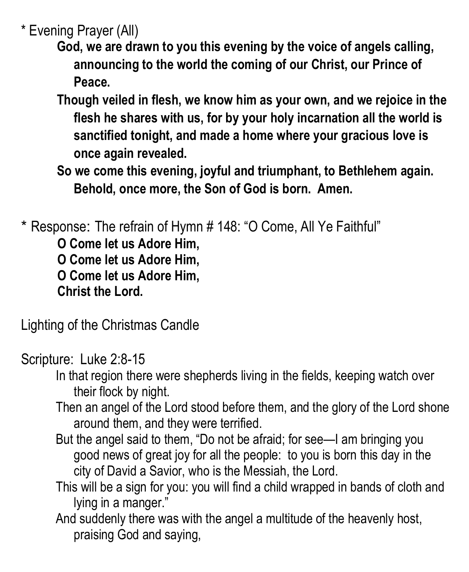\* Evening Prayer (All)

- **God, we are drawn to you this evening by the voice of angels calling, announcing to the world the coming of our Christ, our Prince of Peace.**
- **Though veiled in flesh, we know him as your own, and we rejoice in the flesh he shares with us, for by your holy incarnation all the world is sanctified tonight, and made a home where your gracious love is once again revealed.**
- **So we come this evening, joyful and triumphant, to Bethlehem again. Behold, once more, the Son of God is born. Amen.**

\* Response: The refrain of Hymn # 148: "O Come, All Ye Faithful"

**O Come let us Adore Him, O Come let us Adore Him, O Come let us Adore Him, Christ the Lord.**

Lighting of the Christmas Candle

Scripture: Luke 2:8-15

- In that region there were shepherds living in the fields, keeping watch over their flock by night.
- Then an angel of the Lord stood before them, and the glory of the Lord shone around them, and they were terrified.
- But the angel said to them, "Do not be afraid; for see—I am bringing you good news of great joy for all the people: to you is born this day in the city of David a Savior, who is the Messiah, the Lord.
- This will be a sign for you: you will find a child wrapped in bands of cloth and lying in a manger."
- And suddenly there was with the angel a multitude of the heavenly host, praising God and saying,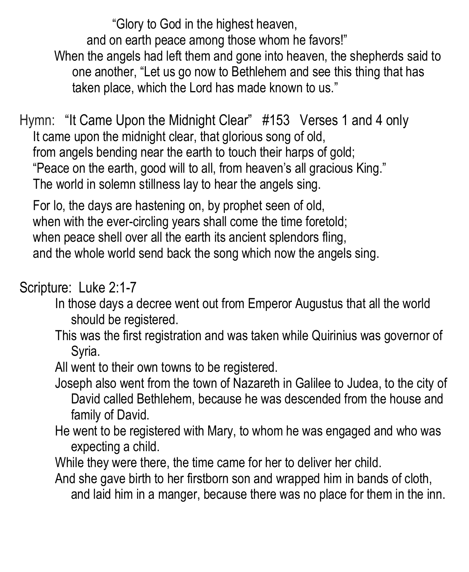"Glory to God in the highest heaven,

and on earth peace among those whom he favors!"

When the angels had left them and gone into heaven, the shepherds said to one another, "Let us go now to Bethlehem and see this thing that has taken place, which the Lord has made known to us."

Hymn: "It Came Upon the Midnight Clear" #153 Verses 1 and 4 only It came upon the midnight clear, that glorious song of old, from angels bending near the earth to touch their harps of gold; "Peace on the earth, good will to all, from heaven's all gracious King." The world in solemn stillness lay to hear the angels sing.

For lo, the days are hastening on, by prophet seen of old, when with the ever-circling years shall come the time foretold; when peace shell over all the earth its ancient splendors fling, and the whole world send back the song which now the angels sing.

Scripture: Luke 2:1-7

- In those days a decree went out from Emperor Augustus that all the world should be registered.
- This was the first registration and was taken while Quirinius was governor of Syria.
- All went to their own towns to be registered.
- Joseph also went from the town of Nazareth in Galilee to Judea, to the city of David called Bethlehem, because he was descended from the house and family of David.
- He went to be registered with Mary, to whom he was engaged and who was expecting a child.
- While they were there, the time came for her to deliver her child.
- And she gave birth to her firstborn son and wrapped him in bands of cloth, and laid him in a manger, because there was no place for them in the inn.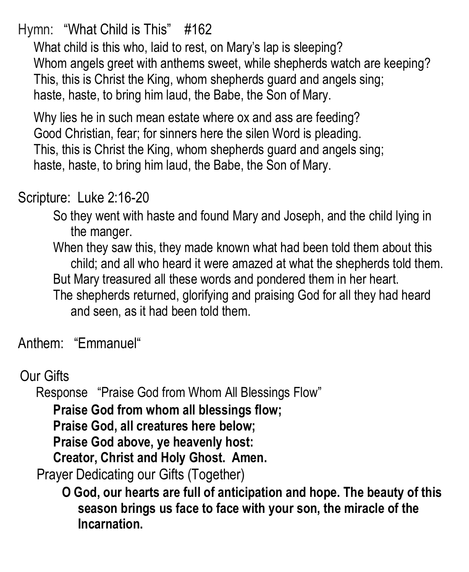Hymn: "What Child is This" #162

What child is this who, laid to rest, on Mary's lap is sleeping? Whom angels greet with anthems sweet, while shepherds watch are keeping? This, this is Christ the King, whom shepherds guard and angels sing; haste, haste, to bring him laud, the Babe, the Son of Mary.

Why lies he in such mean estate where ox and ass are feeding? Good Christian, fear; for sinners here the silen Word is pleading. This, this is Christ the King, whom shepherds guard and angels sing; haste, haste, to bring him laud, the Babe, the Son of Mary.

#### Scripture: Luke 2:16-20

So they went with haste and found Mary and Joseph, and the child lying in the manger.

When they saw this, they made known what had been told them about this child; and all who heard it were amazed at what the shepherds told them. But Mary treasured all these words and pondered them in her heart.

The shepherds returned, glorifying and praising God for all they had heard and seen, as it had been told them.

Anthem: "Emmanuel"

Our Gifts

Response "Praise God from Whom All Blessings Flow"

**Praise God from whom all blessings flow;** 

**Praise God, all creatures here below;**

**Praise God above, ye heavenly host:** 

**Creator, Christ and Holy Ghost. Amen.**

Prayer Dedicating our Gifts (Together)

**O God, our hearts are full of anticipation and hope. The beauty of this season brings us face to face with your son, the miracle of the Incarnation.**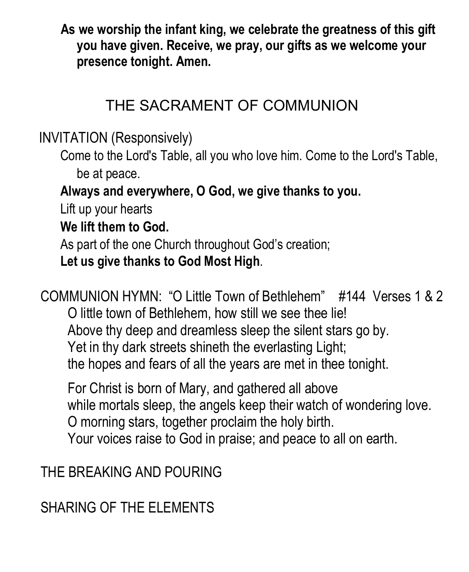**As we worship the infant king, we celebrate the greatness of this gift you have given. Receive, we pray, our gifts as we welcome your presence tonight. Amen.**

#### THE SACRAMENT OF COMMUNION

INVITATION (Responsively)

Come to the Lord's Table, all you who love him. Come to the Lord's Table, be at peace.

**Always and everywhere, O God, we give thanks to you.**

Lift up your hearts

**We lift them to God.**

As part of the one Church throughout God's creation;

**Let us give thanks to God Most High**.

COMMUNION HYMN: "O Little Town of Bethlehem" #144 Verses 1 & 2 O little town of Bethlehem, how still we see thee lie! Above thy deep and dreamless sleep the silent stars go by. Yet in thy dark streets shineth the everlasting Light; the hopes and fears of all the years are met in thee tonight.

For Christ is born of Mary, and gathered all above while mortals sleep, the angels keep their watch of wondering love. O morning stars, together proclaim the holy birth. Your voices raise to God in praise; and peace to all on earth.

THE BREAKING AND POURING

SHARING OF THE ELEMENTS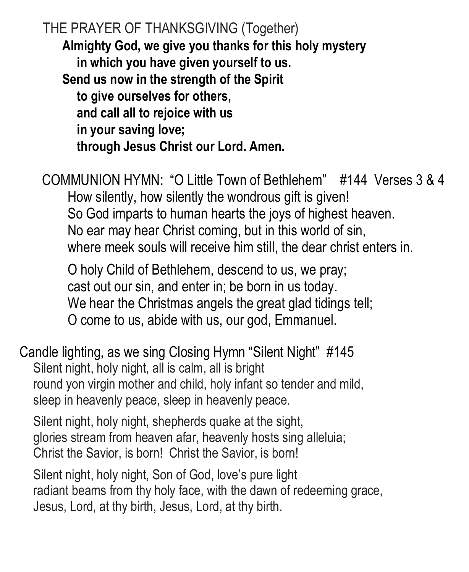THE PRAYER OF THANKSGIVING (Together) **Almighty God, we give you thanks for this holy mystery in which you have given yourself to us. Send us now in the strength of the Spirit to give ourselves for others, and call all to rejoice with us in your saving love; through Jesus Christ our Lord. Amen.**

COMMUNION HYMN: "O Little Town of Bethlehem" #144 Verses 3 & 4 How silently, how silently the wondrous gift is given! So God imparts to human hearts the joys of highest heaven. No ear may hear Christ coming, but in this world of sin, where meek souls will receive him still, the dear christ enters in.

O holy Child of Bethlehem, descend to us, we pray; cast out our sin, and enter in; be born in us today. We hear the Christmas angels the great glad tidings tell; O come to us, abide with us, our god, Emmanuel.

Candle lighting, as we sing Closing Hymn "Silent Night" #145 Silent night, holy night, all is calm, all is bright round yon virgin mother and child, holy infant so tender and mild, sleep in heavenly peace, sleep in heavenly peace.

Silent night, holy night, shepherds quake at the sight, glories stream from heaven afar, heavenly hosts sing alleluia; Christ the Savior, is born! Christ the Savior, is born!

Silent night, holy night, Son of God, love's pure light radiant beams from thy holy face, with the dawn of redeeming grace, Jesus, Lord, at thy birth, Jesus, Lord, at thy birth.